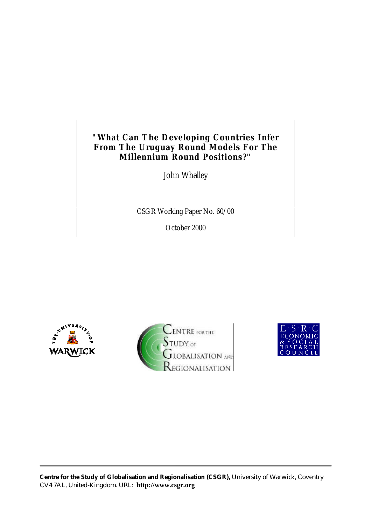# **"What Can The Developing Countries Infer From The Uruguay Round Models For The Millennium Round Positions?"**

John Whalley

CSGR Working Paper No. 60/00

October 2000





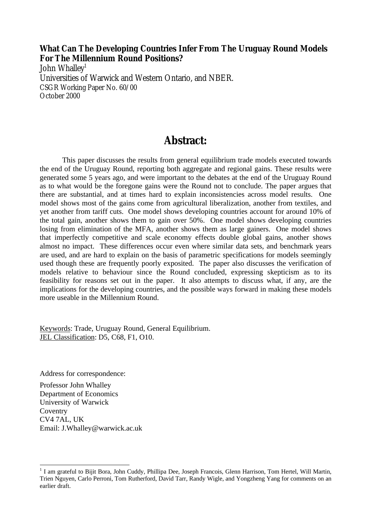# **What Can The Developing Countries Infer From The Uruguay Round Models For The Millennium Round Positions?**

John Whalley<sup>1</sup> Universities of Warwick and Western Ontario, and NBER. CSGR Working Paper No. 60/00 October 2000

# **Abstract:**

This paper discusses the results from general equilibrium trade models executed towards the end of the Uruguay Round, reporting both aggregate and regional gains. These results were generated some 5 years ago, and were important to the debates at the end of the Uruguay Round as to what would be the foregone gains were the Round not to conclude. The paper argues that there are substantial, and at times hard to explain inconsistencies across model results. One model shows most of the gains come from agricultural liberalization, another from textiles, and yet another from tariff cuts. One model shows developing countries account for around 10% of the total gain, another shows them to gain over 50%. One model shows developing countries losing from elimination of the MFA, another shows them as large gainers. One model shows that imperfectly competitive and scale economy effects double global gains, another shows almost no impact. These differences occur even where similar data sets, and benchmark years are used, and are hard to explain on the basis of parametric specifications for models seemingly used though these are frequently poorly exposited. The paper also discusses the verification of models relative to behaviour since the Round concluded, expressing skepticism as to its feasibility for reasons set out in the paper. It also attempts to discuss what, if any, are the implications for the developing countries, and the possible ways forward in making these models more useable in the Millennium Round.

Keywords: Trade, Uruguay Round, General Equilibrium. JEL Classification: D5, C68, F1, O10.

Address for correspondence:

Professor John Whalley Department of Economics University of Warwick **Coventry** CV4 7AL, UK Email: J.Whalley@warwick.ac.uk

<sup>&</sup>lt;sup>1</sup> I am grateful to Bijit Bora, John Cuddy, Phillipa Dee, Joseph Francois, Glenn Harrison, Tom Hertel, Will Martin, Trien Nguyen, Carlo Perroni, Tom Rutherford, David Tarr, Randy Wigle, and Yongzheng Yang for comments on an earlier draft.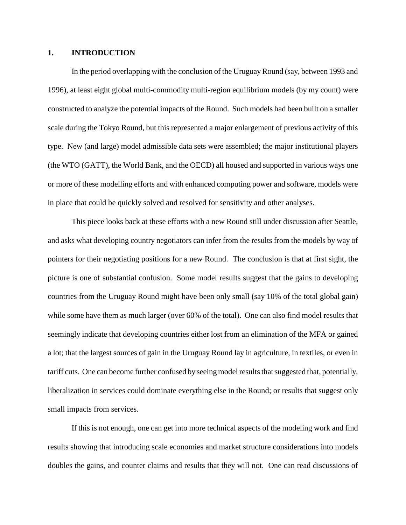# **1. INTRODUCTION**

In the period overlapping with the conclusion of the Uruguay Round (say, between 1993 and 1996), at least eight global multi-commodity multi-region equilibrium models (by my count) were constructed to analyze the potential impacts of the Round. Such models had been built on a smaller scale during the Tokyo Round, but this represented a major enlargement of previous activity of this type. New (and large) model admissible data sets were assembled; the major institutional players (the WTO (GATT), the World Bank, and the OECD) all housed and supported in various ways one or more of these modelling efforts and with enhanced computing power and software, models were in place that could be quickly solved and resolved for sensitivity and other analyses.

This piece looks back at these efforts with a new Round still under discussion after Seattle, and asks what developing country negotiators can infer from the results from the models by way of pointers for their negotiating positions for a new Round. The conclusion is that at first sight, the picture is one of substantial confusion. Some model results suggest that the gains to developing countries from the Uruguay Round might have been only small (say 10% of the total global gain) while some have them as much larger (over 60% of the total). One can also find model results that seemingly indicate that developing countries either lost from an elimination of the MFA or gained a lot; that the largest sources of gain in the Uruguay Round lay in agriculture, in textiles, or even in tariff cuts. One can become further confused by seeing model results that suggested that, potentially, liberalization in services could dominate everything else in the Round; or results that suggest only small impacts from services.

If this is not enough, one can get into more technical aspects of the modeling work and find results showing that introducing scale economies and market structure considerations into models doubles the gains, and counter claims and results that they will not. One can read discussions of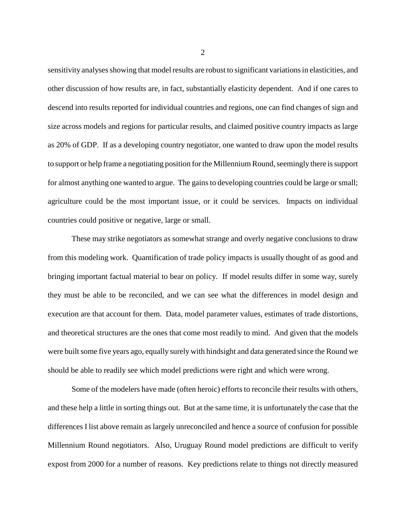sensitivity analyses showing that model results are robust to significant variations in elasticities, and other discussion of how results are, in fact, substantially elasticity dependent. And if one cares to descend into results reported for individual countries and regions, one can find changes of sign and size across models and regions for particular results, and claimed positive country impacts as large as 20% of GDP. If as a developing country negotiator, one wanted to draw upon the model results to support or help frame a negotiating position for the Millennium Round, seemingly there is support for almost anything one wanted to argue. The gains to developing countries could be large or small; agriculture could be the most important issue, or it could be services. Impacts on individual countries could positive or negative, large or small.

These may strike negotiators as somewhat strange and overly negative conclusions to draw from this modeling work. Quantification of trade policy impacts is usually thought of as good and bringing important factual material to bear on policy. If model results differ in some way, surely they must be able to be reconciled, and we can see what the differences in model design and execution are that account for them. Data, model parameter values, estimates of trade distortions, and theoretical structures are the ones that come most readily to mind. And given that the models were built some five years ago, equally surely with hindsight and data generated since the Round we should be able to readily see which model predictions were right and which were wrong.

Some of the modelers have made (often heroic) efforts to reconcile their results with others, and these help a little in sorting things out. But at the same time, it is unfortunately the case that the differences I list above remain as largely unreconciled and hence a source of confusion for possible Millennium Round negotiators. Also, Uruguay Round model predictions are difficult to verify expost from 2000 for a number of reasons. Key predictions relate to things not directly measured

2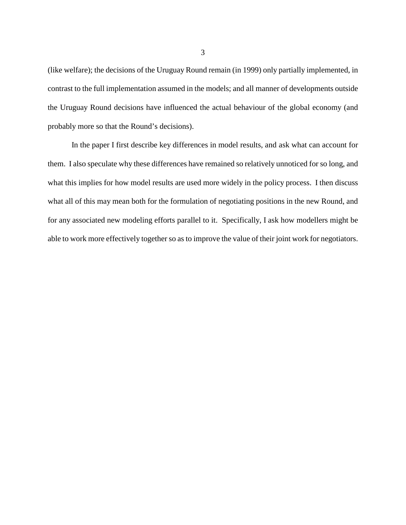(like welfare); the decisions of the Uruguay Round remain (in 1999) only partially implemented, in contrast to the full implementation assumed in the models; and all manner of developments outside the Uruguay Round decisions have influenced the actual behaviour of the global economy (and probably more so that the Round's decisions).

In the paper I first describe key differences in model results, and ask what can account for them. I also speculate why these differences have remained so relatively unnoticed for so long, and what this implies for how model results are used more widely in the policy process. I then discuss what all of this may mean both for the formulation of negotiating positions in the new Round, and for any associated new modeling efforts parallel to it. Specifically, I ask how modellers might be able to work more effectively together so as to improve the value of their joint work for negotiators.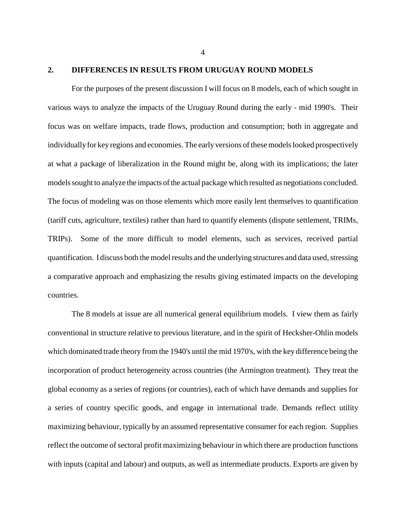# **2. DIFFERENCES IN RESULTS FROM URUGUAY ROUND MODELS**

For the purposes of the present discussion I will focus on 8 models, each of which sought in various ways to analyze the impacts of the Uruguay Round during the early - mid 1990's. Their focus was on welfare impacts, trade flows, production and consumption; both in aggregate and individually for key regions and economies. The early versions of these models looked prospectively at what a package of liberalization in the Round might be, along with its implications; the later models sought to analyze the impacts of the actual package which resulted as negotiations concluded. The focus of modeling was on those elements which more easily lent themselves to quantification (tariff cuts, agriculture, textiles) rather than hard to quantify elements (dispute settlement, TRIMs, TRIPs). Some of the more difficult to model elements, such as services, received partial quantification. I discuss both the model results and the underlying structures and data used, stressing a comparative approach and emphasizing the results giving estimated impacts on the developing countries.

The 8 models at issue are all numerical general equilibrium models. I view them as fairly conventional in structure relative to previous literature, and in the spirit of Hecksher-Ohlin models which dominated trade theory from the 1940's until the mid 1970's, with the key difference being the incorporation of product heterogeneity across countries (the Armington treatment). They treat the global economy as a series of regions (or countries), each of which have demands and supplies for a series of country specific goods, and engage in international trade. Demands reflect utility maximizing behaviour, typically by an assumed representative consumer for each region. Supplies reflect the outcome of sectoral profit maximizing behaviour in which there are production functions with inputs (capital and labour) and outputs, as well as intermediate products. Exports are given by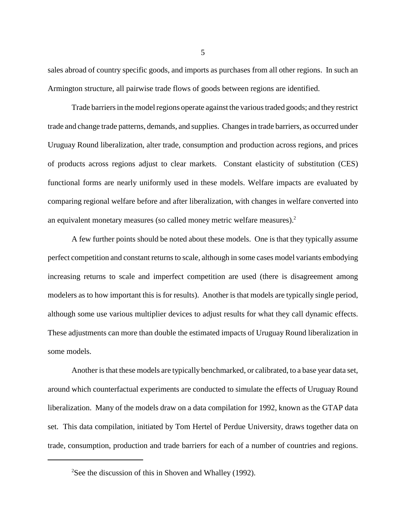sales abroad of country specific goods, and imports as purchases from all other regions. In such an Armington structure, all pairwise trade flows of goods between regions are identified.

Trade barriers in the model regions operate against the various traded goods; and they restrict trade and change trade patterns, demands, and supplies. Changes in trade barriers, as occurred under Uruguay Round liberalization, alter trade, consumption and production across regions, and prices of products across regions adjust to clear markets. Constant elasticity of substitution (CES) functional forms are nearly uniformly used in these models. Welfare impacts are evaluated by comparing regional welfare before and after liberalization, with changes in welfare converted into an equivalent monetary measures (so called money metric welfare measures).2

A few further points should be noted about these models. One is that they typically assume perfect competition and constant returns to scale, although in some cases model variants embodying increasing returns to scale and imperfect competition are used (there is disagreement among modelers as to how important this is for results). Another is that models are typically single period, although some use various multiplier devices to adjust results for what they call dynamic effects. These adjustments can more than double the estimated impacts of Uruguay Round liberalization in some models.

Another is that these models are typically benchmarked, or calibrated, to a base year data set, around which counterfactual experiments are conducted to simulate the effects of Uruguay Round liberalization. Many of the models draw on a data compilation for 1992, known as the GTAP data set. This data compilation, initiated by Tom Hertel of Perdue University, draws together data on trade, consumption, production and trade barriers for each of a number of countries and regions.

<sup>&</sup>lt;sup>2</sup>See the discussion of this in Shoven and Whalley (1992).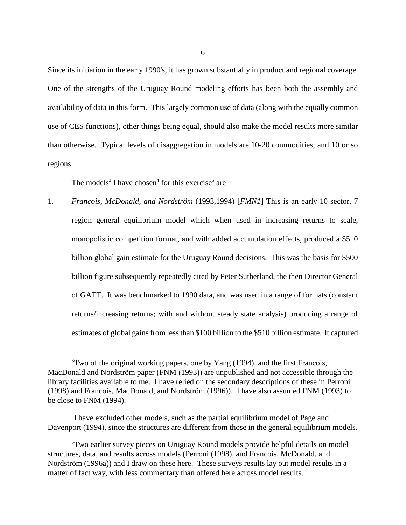Since its initiation in the early 1990's, it has grown substantially in product and regional coverage. One of the strengths of the Uruguay Round modeling efforts has been both the assembly and availability of data in this form. This largely common use of data (along with the equally common use of CES functions), other things being equal, should also make the model results more similar than otherwise. Typical levels of disaggregation in models are 10-20 commodities, and 10 or so regions.

The models<sup>3</sup> I have chosen<sup>4</sup> for this exercise<sup>5</sup> are

1. *Francois, McDonald, and Nordström* (1993,1994) [*FMN1*] This is an early 10 sector, 7 region general equilibrium model which when used in increasing returns to scale, monopolistic competition format, and with added accumulation effects, produced a \$510 billion global gain estimate for the Uruguay Round decisions. This was the basis for \$500 billion figure subsequently repeatedly cited by Peter Sutherland, the then Director General of GATT. It was benchmarked to 1990 data, and was used in a range of formats (constant returns/increasing returns; with and without steady state analysis) producing a range of estimates of global gains from less than \$100 billion to the \$510 billion estimate. It captured

 $3$ Two of the original working papers, one by Yang (1994), and the first Francois, MacDonald and Nordström paper (FNM (1993)) are unpublished and not accessible through the library facilities available to me. I have relied on the secondary descriptions of these in Perroni (1998) and Francois, MacDonald, and Nordström (1996)). I have also assumed FNM (1993) to be close to FNM (1994).

<sup>&</sup>lt;sup>4</sup>I have excluded other models, such as the partial equilibrium model of Page and Davenport (1994), since the structures are different from those in the general equilibrium models.

<sup>5</sup> Two earlier survey pieces on Uruguay Round models provide helpful details on model structures, data, and results across models (Perroni (1998), and Francois, McDonald, and Nordström (1996a)) and I draw on these here. These surveys results lay out model results in a matter of fact way, with less commentary than offered here across model results.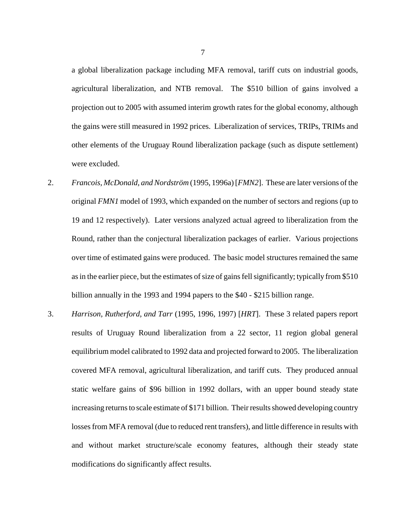a global liberalization package including MFA removal, tariff cuts on industrial goods, agricultural liberalization, and NTB removal. The \$510 billion of gains involved a projection out to 2005 with assumed interim growth rates for the global economy, although the gains were still measured in 1992 prices. Liberalization of services, TRIPs, TRIMs and other elements of the Uruguay Round liberalization package (such as dispute settlement) were excluded.

- 2. *Francois, McDonald, and Nordström* (1995, 1996a) [*FMN2*]. These are later versions of the original *FMN1* model of 1993, which expanded on the number of sectors and regions (up to 19 and 12 respectively). Later versions analyzed actual agreed to liberalization from the Round, rather than the conjectural liberalization packages of earlier. Various projections over time of estimated gains were produced. The basic model structures remained the same as in the earlier piece, but the estimates of size of gains fell significantly; typically from \$510 billion annually in the 1993 and 1994 papers to the \$40 - \$215 billion range.
- 3. *Harrison, Rutherford, and Tarr* (1995, 1996, 1997) [*HRT*]. These 3 related papers report results of Uruguay Round liberalization from a 22 sector, 11 region global general equilibrium model calibrated to 1992 data and projected forward to 2005. The liberalization covered MFA removal, agricultural liberalization, and tariff cuts. They produced annual static welfare gains of \$96 billion in 1992 dollars, with an upper bound steady state increasing returns to scale estimate of \$171 billion. Their results showed developing country losses from MFA removal (due to reduced rent transfers), and little difference in results with and without market structure/scale economy features, although their steady state modifications do significantly affect results.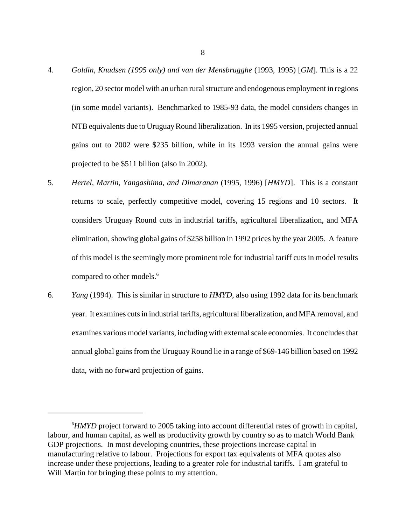- 4. *Goldin, Knudsen (1995 only) and van der Mensbrugghe* (1993, 1995) [*GM*]. This is a 22 region, 20 sector model with an urban rural structure and endogenous employment in regions (in some model variants). Benchmarked to 1985-93 data, the model considers changes in NTB equivalents due to Uruguay Round liberalization. In its 1995 version, projected annual gains out to 2002 were \$235 billion, while in its 1993 version the annual gains were projected to be \$511 billion (also in 2002).
- 5. *Hertel, Martin, Yangashima, and Dimaranan* (1995, 1996) [*HMYD*]. This is a constant returns to scale, perfectly competitive model, covering 15 regions and 10 sectors. It considers Uruguay Round cuts in industrial tariffs, agricultural liberalization, and MFA elimination, showing global gains of \$258 billion in 1992 prices by the year 2005. A feature of this model is the seemingly more prominent role for industrial tariff cuts in model results compared to other models.<sup>6</sup>
- 6. *Yang* (1994). This is similar in structure to *HMYD*, also using 1992 data for its benchmark year. It examines cuts in industrial tariffs, agricultural liberalization, and MFA removal, and examines various model variants, including with external scale economies. It concludes that annual global gains from the Uruguay Round lie in a range of \$69-146 billion based on 1992 data, with no forward projection of gains.

<sup>&</sup>lt;sup>6</sup>HMYD project forward to 2005 taking into account differential rates of growth in capital, labour, and human capital, as well as productivity growth by country so as to match World Bank GDP projections. In most developing countries, these projections increase capital in manufacturing relative to labour. Projections for export tax equivalents of MFA quotas also increase under these projections, leading to a greater role for industrial tariffs. I am grateful to Will Martin for bringing these points to my attention.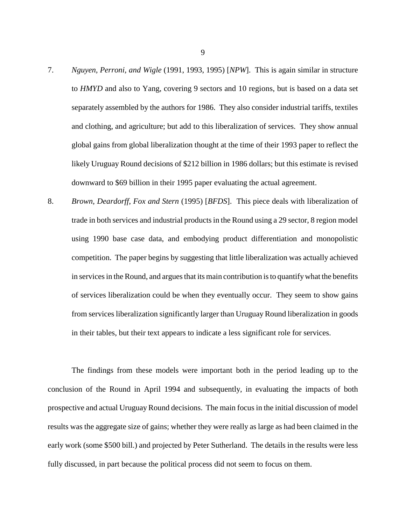- 7. *Nguyen, Perroni, and Wigle* (1991, 1993, 1995) [*NPW*]. This is again similar in structure to *HMYD* and also to Yang, covering 9 sectors and 10 regions, but is based on a data set separately assembled by the authors for 1986. They also consider industrial tariffs, textiles and clothing, and agriculture; but add to this liberalization of services. They show annual global gains from global liberalization thought at the time of their 1993 paper to reflect the likely Uruguay Round decisions of \$212 billion in 1986 dollars; but this estimate is revised downward to \$69 billion in their 1995 paper evaluating the actual agreement.
- 8. *Brown, Deardorff, Fox and Stern* (1995) [*BFDS*]. This piece deals with liberalization of trade in both services and industrial products in the Round using a 29 sector, 8 region model using 1990 base case data, and embodying product differentiation and monopolistic competition. The paper begins by suggesting that little liberalization was actually achieved in services in the Round, and argues that its main contribution is to quantify what the benefits of services liberalization could be when they eventually occur. They seem to show gains from services liberalization significantly larger than Uruguay Round liberalization in goods in their tables, but their text appears to indicate a less significant role for services.

The findings from these models were important both in the period leading up to the conclusion of the Round in April 1994 and subsequently, in evaluating the impacts of both prospective and actual Uruguay Round decisions. The main focus in the initial discussion of model results was the aggregate size of gains; whether they were really as large as had been claimed in the early work (some \$500 bill.) and projected by Peter Sutherland. The details in the results were less fully discussed, in part because the political process did not seem to focus on them.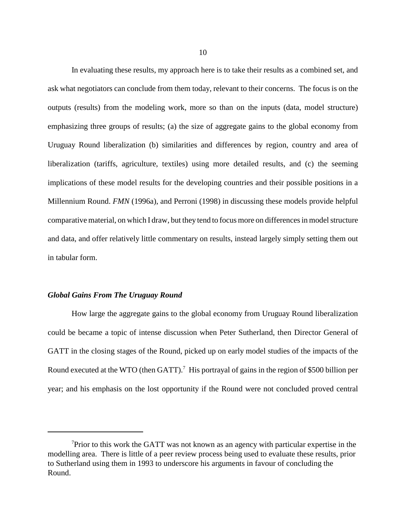In evaluating these results, my approach here is to take their results as a combined set, and ask what negotiators can conclude from them today, relevant to their concerns. The focus is on the outputs (results) from the modeling work, more so than on the inputs (data, model structure) emphasizing three groups of results; (a) the size of aggregate gains to the global economy from Uruguay Round liberalization (b) similarities and differences by region, country and area of liberalization (tariffs, agriculture, textiles) using more detailed results, and (c) the seeming implications of these model results for the developing countries and their possible positions in a Millennium Round. *FMN* (1996a), and Perroni (1998) in discussing these models provide helpful comparative material, on which I draw, but they tend to focus more on differences in model structure and data, and offer relatively little commentary on results, instead largely simply setting them out in tabular form.

## *Global Gains From The Uruguay Round*

How large the aggregate gains to the global economy from Uruguay Round liberalization could be became a topic of intense discussion when Peter Sutherland, then Director General of GATT in the closing stages of the Round, picked up on early model studies of the impacts of the Round executed at the WTO (then GATT).<sup>7</sup> His portrayal of gains in the region of \$500 billion per year; and his emphasis on the lost opportunity if the Round were not concluded proved central

 $7$ Prior to this work the GATT was not known as an agency with particular expertise in the modelling area. There is little of a peer review process being used to evaluate these results, prior to Sutherland using them in 1993 to underscore his arguments in favour of concluding the Round.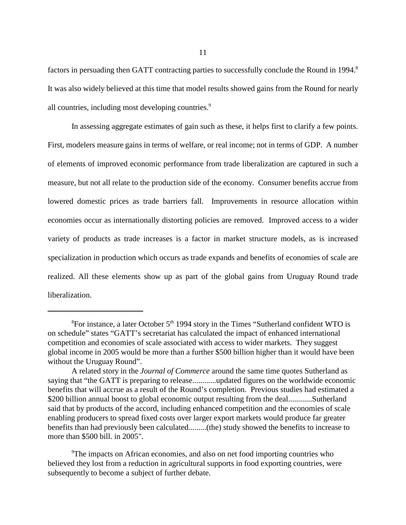factors in persuading then GATT contracting parties to successfully conclude the Round in 1994.<sup>8</sup> It was also widely believed at this time that model results showed gains from the Round for nearly all countries, including most developing countries.<sup>9</sup>

In assessing aggregate estimates of gain such as these, it helps first to clarify a few points. First, modelers measure gains in terms of welfare, or real income; not in terms of GDP. A number of elements of improved economic performance from trade liberalization are captured in such a measure, but not all relate to the production side of the economy. Consumer benefits accrue from lowered domestic prices as trade barriers fall. Improvements in resource allocation within economies occur as internationally distorting policies are removed. Improved access to a wider variety of products as trade increases is a factor in market structure models, as is increased specialization in production which occurs as trade expands and benefits of economies of scale are realized. All these elements show up as part of the global gains from Uruguay Round trade liberalization.

 ${}^{8}$ For instance, a later October 5<sup>th</sup> 1994 story in the Times "Sutherland confident WTO is on schedule" states "GATT's secretariat has calculated the impact of enhanced international competition and economies of scale associated with access to wider markets. They suggest global income in 2005 would be more than a further \$500 billion higher than it would have been without the Uruguay Round".

A related story in the *Journal of Commerce* around the same time quotes Sutherland as saying that "the GATT is preparing to release............updated figures on the worldwide economic benefits that will accrue as a result of the Round's completion. Previous studies had estimated a \$200 billion annual boost to global economic output resulting from the deal.............Sutherland said that by products of the accord, including enhanced competition and the economies of scale enabling producers to spread fixed costs over larger export markets would produce far greater benefits than had previously been calculated.........(the) study showed the benefits to increase to more than \$500 bill. in 2005".

<sup>&</sup>lt;sup>9</sup>The impacts on African economies, and also on net food importing countries who believed they lost from a reduction in agricultural supports in food exporting countries, were subsequently to become a subject of further debate.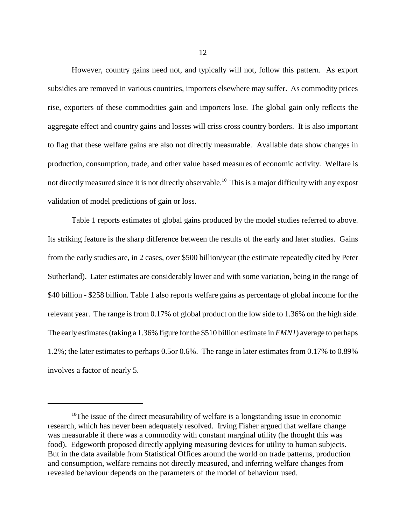However, country gains need not, and typically will not, follow this pattern. As export subsidies are removed in various countries, importers elsewhere may suffer. As commodity prices rise, exporters of these commodities gain and importers lose. The global gain only reflects the aggregate effect and country gains and losses will criss cross country borders. It is also important to flag that these welfare gains are also not directly measurable. Available data show changes in production, consumption, trade, and other value based measures of economic activity. Welfare is not directly measured since it is not directly observable.<sup>10</sup> This is a major difficulty with any expost validation of model predictions of gain or loss.

Table 1 reports estimates of global gains produced by the model studies referred to above. Its striking feature is the sharp difference between the results of the early and later studies. Gains from the early studies are, in 2 cases, over \$500 billion/year (the estimate repeatedly cited by Peter Sutherland). Later estimates are considerably lower and with some variation, being in the range of \$40 billion - \$258 billion. Table 1 also reports welfare gains as percentage of global income for the relevant year. The range is from 0.17% of global product on the low side to 1.36% on the high side. The early estimates (taking a 1.36% figure for the \$510 billion estimate in *FMN1*) average to perhaps 1.2%; the later estimates to perhaps 0.5or 0.6%. The range in later estimates from 0.17% to 0.89% involves a factor of nearly 5.

<sup>&</sup>lt;sup>10</sup>The issue of the direct measurability of welfare is a longstanding issue in economic research, which has never been adequately resolved. Irving Fisher argued that welfare change was measurable if there was a commodity with constant marginal utility (he thought this was food). Edgeworth proposed directly applying measuring devices for utility to human subjects. But in the data available from Statistical Offices around the world on trade patterns, production and consumption, welfare remains not directly measured, and inferring welfare changes from revealed behaviour depends on the parameters of the model of behaviour used.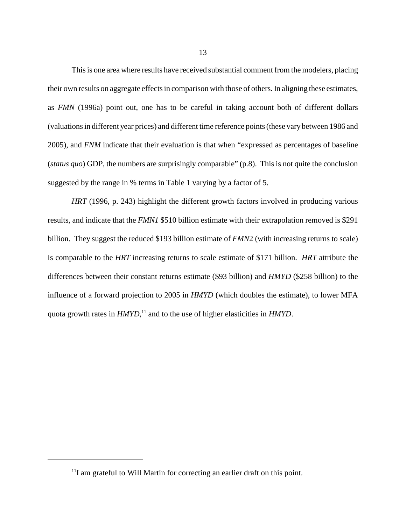This is one area where results have received substantial comment from the modelers, placing their own results on aggregate effects in comparison with those of others. In aligning these estimates, as *FMN* (1996a) point out, one has to be careful in taking account both of different dollars (valuations in different year prices) and different time reference points (these vary between 1986 and 2005), and *FNM* indicate that their evaluation is that when "expressed as percentages of baseline (*status quo*) GDP, the numbers are surprisingly comparable" (p.8). This is not quite the conclusion suggested by the range in % terms in Table 1 varying by a factor of 5.

*HRT* (1996, p. 243) highlight the different growth factors involved in producing various results, and indicate that the *FMN1* \$510 billion estimate with their extrapolation removed is \$291 billion. They suggest the reduced \$193 billion estimate of *FMN*2 (with increasing returns to scale) is comparable to the *HRT* increasing returns to scale estimate of \$171 billion. *HRT* attribute the differences between their constant returns estimate (\$93 billion) and *HMYD* (\$258 billion) to the influence of a forward projection to 2005 in *HMYD* (which doubles the estimate), to lower MFA quota growth rates in *HMYD*, 11 and to the use of higher elasticities in *HMYD*.

<sup>&</sup>lt;sup>11</sup>I am grateful to Will Martin for correcting an earlier draft on this point.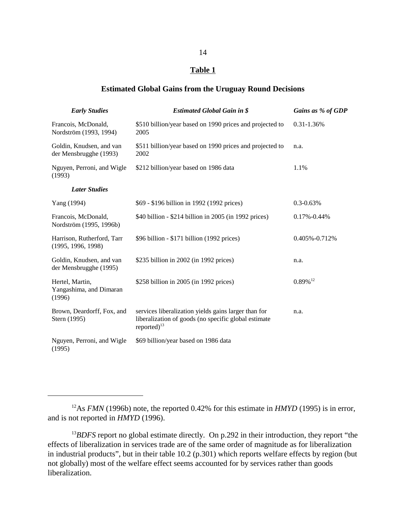## **Table 1**

## **Estimated Global Gains from the Uruguay Round Decisions**

| <b>Early Studies</b>                                 | <b>Estimated Global Gain in \$</b>                                                                                                | Gains as % of GDP      |
|------------------------------------------------------|-----------------------------------------------------------------------------------------------------------------------------------|------------------------|
| Francois, McDonald,<br>Nordström (1993, 1994)        | \$510 billion/year based on 1990 prices and projected to<br>2005                                                                  | $0.31 - 1.36\%$        |
| Goldin, Knudsen, and van<br>der Mensbrugghe (1993)   | \$511 billion/year based on 1990 prices and projected to<br>2002                                                                  | n.a.                   |
| Nguyen, Perroni, and Wigle<br>(1993)                 | \$212 billion/year based on 1986 data                                                                                             | 1.1%                   |
| <b>Later Studies</b>                                 |                                                                                                                                   |                        |
| Yang (1994)                                          | \$69 - \$196 billion in 1992 (1992 prices)                                                                                        | $0.3 - 0.63\%$         |
| Francois, McDonald,<br>Nordström (1995, 1996b)       | \$40 billion - \$214 billion in 2005 (in 1992 prices)                                                                             | $0.17\% - 0.44\%$      |
| Harrison, Rutherford, Tarr<br>(1995, 1996, 1998)     | \$96 billion - \$171 billion (1992 prices)                                                                                        | 0.405%-0.712%          |
| Goldin, Knudsen, and van<br>der Mensbrugghe (1995)   | \$235 billion in 2002 (in 1992 prices)                                                                                            | n.a.                   |
| Hertel, Martin,<br>Yangashima, and Dimaran<br>(1996) | \$258 billion in 2005 (in 1992 prices)                                                                                            | $0.89\%$ <sup>12</sup> |
| Brown, Deardorff, Fox, and<br>Stern (1995)           | services liberalization yields gains larger than for<br>liberalization of goods (no specific global estimate<br>reported $)^{13}$ | n.a.                   |
| Nguyen, Perroni, and Wigle<br>(1995)                 | \$69 billion/year based on 1986 data                                                                                              |                        |

<sup>&</sup>lt;sup>12</sup>As *FMN* (1996b) note, the reported 0.42% for this estimate in *HMYD* (1995) is in error, and is not reported in *HMYD* (1996).

<sup>&</sup>lt;sup>13</sup>BDFS report no global estimate directly. On p.292 in their introduction, they report "the effects of liberalization in services trade are of the same order of magnitude as for liberalization in industrial products", but in their table 10.2 (p.301) which reports welfare effects by region (but not globally) most of the welfare effect seems accounted for by services rather than goods liberalization.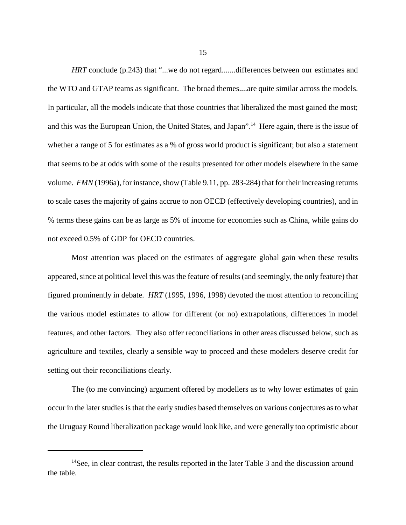*HRT* conclude (p.243) that "...we do not regard.......differences between our estimates and the WTO and GTAP teams as significant. The broad themes....are quite similar across the models. In particular, all the models indicate that those countries that liberalized the most gained the most; and this was the European Union, the United States, and Japan".14 Here again, there is the issue of whether a range of 5 for estimates as a % of gross world product is significant; but also a statement that seems to be at odds with some of the results presented for other models elsewhere in the same volume. *FMN* (1996a), for instance, show (Table 9.11, pp. 283-284) that for their increasing returns to scale cases the majority of gains accrue to non OECD (effectively developing countries), and in % terms these gains can be as large as 5% of income for economies such as China, while gains do not exceed 0.5% of GDP for OECD countries.

Most attention was placed on the estimates of aggregate global gain when these results appeared, since at political level this was the feature of results (and seemingly, the only feature) that figured prominently in debate. *HRT* (1995, 1996, 1998) devoted the most attention to reconciling the various model estimates to allow for different (or no) extrapolations, differences in model features, and other factors. They also offer reconciliations in other areas discussed below, such as agriculture and textiles, clearly a sensible way to proceed and these modelers deserve credit for setting out their reconciliations clearly.

The (to me convincing) argument offered by modellers as to why lower estimates of gain occur in the later studies is that the early studies based themselves on various conjectures as to what the Uruguay Round liberalization package would look like, and were generally too optimistic about

<sup>&</sup>lt;sup>14</sup>See, in clear contrast, the results reported in the later Table 3 and the discussion around the table.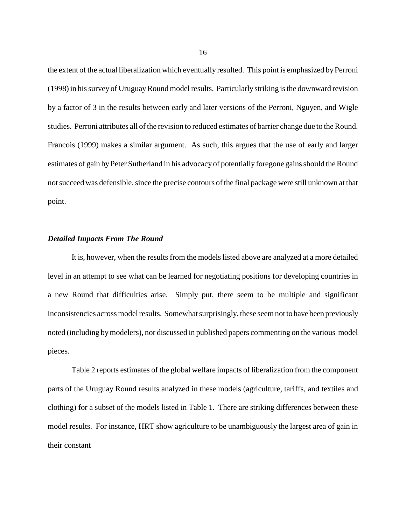the extent of the actual liberalization which eventually resulted. This point is emphasized by Perroni (1998) in his survey of Uruguay Round model results. Particularly striking is the downward revision by a factor of 3 in the results between early and later versions of the Perroni, Nguyen, and Wigle studies. Perroni attributes all of the revision to reduced estimates of barrier change due to the Round. Francois (1999) makes a similar argument. As such, this argues that the use of early and larger estimates of gain by Peter Sutherland in his advocacy of potentially foregone gains should the Round not succeed was defensible, since the precise contours of the final package were still unknown at that point.

## *Detailed Impacts From The Round*

It is, however, when the results from the models listed above are analyzed at a more detailed level in an attempt to see what can be learned for negotiating positions for developing countries in a new Round that difficulties arise. Simply put, there seem to be multiple and significant inconsistencies across model results. Somewhat surprisingly, these seem not to have been previously noted (including by modelers), nor discussed in published papers commenting on the various model pieces.

Table 2 reports estimates of the global welfare impacts of liberalization from the component parts of the Uruguay Round results analyzed in these models (agriculture, tariffs, and textiles and clothing) for a subset of the models listed in Table 1. There are striking differences between these model results. For instance, HRT show agriculture to be unambiguously the largest area of gain in their constant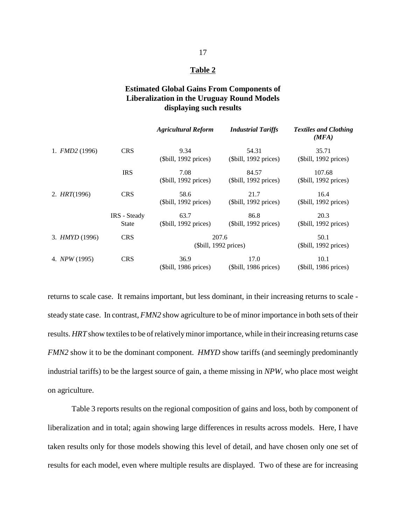## **Table 2**

# **Estimated Global Gains From Components of Liberalization in the Uruguay Round Models displaying such results**

|                 |              | <b>Agricultural Reform</b> | <b>Industrial Tariffs</b> | <b>Textiles and Clothing</b><br>(MFA) |
|-----------------|--------------|----------------------------|---------------------------|---------------------------------------|
| 1. $FMD2(1996)$ | <b>CRS</b>   | 9.34                       | 54.31                     | 35.71                                 |
|                 |              | (\$bill, 1992 prices)      | (\$bill, 1992 prices)     | (\$bill, 1992 prices)                 |
|                 | <b>IRS</b>   | 7.08                       | 84.57                     | 107.68                                |
|                 |              | (\$bill, 1992 prices)      | (\$bill, 1992 prices)     | (\$bill, 1992 prices)                 |
| 2. $HRT(1996)$  | <b>CRS</b>   | 58.6                       | 21.7                      | 16.4                                  |
|                 |              | (\$bill, 1992 prices)      | (\$bill, 1992 prices)     | (\$bill, 1992 prices)                 |
|                 | IRS - Steady | 63.7                       | 86.8                      | 20.3                                  |
|                 | State        | (\$bill, 1992 prices)      | (\$bill, 1992 prices)     | $(\text{Still}, 1992 \text{ prices})$ |
| 3. HMYD (1996)  | <b>CRS</b>   |                            | 207.6                     | 50.1                                  |
|                 |              |                            | (\$bill, 1992 prices)     | (\$bill, 1992 prices)                 |
| 4. NPW (1995)   | <b>CRS</b>   | 36.9                       | 17.0                      | 10.1                                  |
|                 |              | (\$bill, 1986 prices)      | (\$bill, 1986 prices)     | (\$bill, 1986 prices)                 |

returns to scale case. It remains important, but less dominant, in their increasing returns to scale steady state case. In contrast, *FMN2* show agriculture to be of minor importance in both sets of their results. *HRT* show textiles to be of relatively minor importance, while in their increasing returns case *FMN2* show it to be the dominant component. *HMYD* show tariffs (and seemingly predominantly industrial tariffs) to be the largest source of gain, a theme missing in *NPW*, who place most weight on agriculture.

Table 3 reports results on the regional composition of gains and loss, both by component of liberalization and in total; again showing large differences in results across models. Here, I have taken results only for those models showing this level of detail, and have chosen only one set of results for each model, even where multiple results are displayed. Two of these are for increasing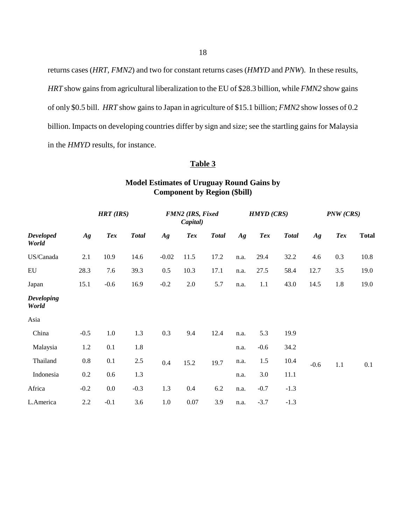returns cases (*HRT*, *FMN2*) and two for constant returns cases (*HMYD* and *PNW*). In these results, *HRT* show gains from agricultural liberalization to the EU of \$28.3 billion, while *FMN2* show gains of only \$0.5 bill. *HRT* show gains to Japan in agriculture of \$15.1 billion; *FMN2* show losses of 0.2 billion. Impacts on developing countries differ by sign and size; see the startling gains for Malaysia in the *HMYD* results, for instance.

# **Table 3**

# **Model Estimates of Uruguay Round Gains by Component by Region (\$bill)**

|                            |         | $HRT$ (IRS) |              |                 | FMN2 (IRS, Fixed<br>Capital) |              |      | <b>HMYD</b> (CRS) |              |        | PNW (CRS)  |              |
|----------------------------|---------|-------------|--------------|-----------------|------------------------------|--------------|------|-------------------|--------------|--------|------------|--------------|
| <b>Developed</b><br>World  | Ag      | <b>Tex</b>  | <b>Total</b> | $A\mathfrak{g}$ | <b>Tex</b>                   | <b>Total</b> | Ag   | <b>Tex</b>        | <b>Total</b> | Ag     | <b>Tex</b> | <b>Total</b> |
| US/Canada                  | 2.1     | 10.9        | 14.6         | $-0.02$         | 11.5                         | 17.2         | n.a. | 29.4              | 32.2         | 4.6    | 0.3        | 10.8         |
| ${\rm EU}$                 | 28.3    | 7.6         | 39.3         | 0.5             | 10.3                         | 17.1         | n.a. | 27.5              | 58.4         | 12.7   | 3.5        | 19.0         |
| Japan                      | 15.1    | $-0.6$      | 16.9         | $-0.2$          | 2.0                          | 5.7          | n.a. | 1.1               | 43.0         | 14.5   | 1.8        | 19.0         |
| <b>Developing</b><br>World |         |             |              |                 |                              |              |      |                   |              |        |            |              |
| Asia                       |         |             |              |                 |                              |              |      |                   |              |        |            |              |
| China                      | $-0.5$  | $1.0\,$     | 1.3          | 0.3             | 9.4                          | 12.4         | n.a. | 5.3               | 19.9         |        |            |              |
| Malaysia                   | 1.2     | 0.1         | 1.8          |                 |                              |              | n.a. | $-0.6$            | 34.2         |        |            |              |
| Thailand                   | $0.8\,$ | 0.1         | 2.5          | 0.4             | 15.2                         | 19.7         | n.a. | 1.5               | 10.4         | $-0.6$ | 1.1        | 0.1          |
| Indonesia                  | $0.2\,$ | 0.6         | 1.3          |                 |                              |              | n.a. | 3.0               | 11.1         |        |            |              |
| Africa                     | $-0.2$  | 0.0         | $-0.3$       | 1.3             | 0.4                          | 6.2          | n.a. | $-0.7$            | $-1.3$       |        |            |              |
| L.America                  | 2.2     | $-0.1$      | 3.6          | $1.0\,$         | $0.07\,$                     | 3.9          | n.a. | $-3.7$            | $-1.3$       |        |            |              |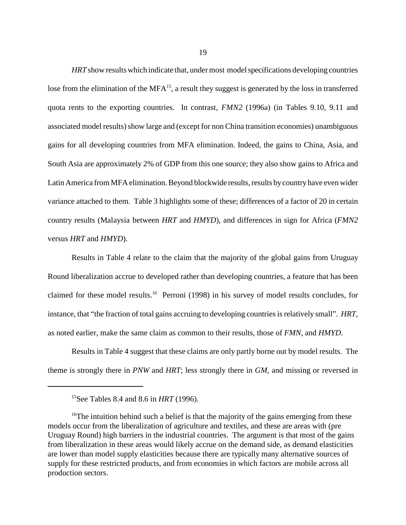*HRT* show results which indicate that, under most model specifications developing countries lose from the elimination of the MFA<sup>15</sup>, a result they suggest is generated by the loss in transferred quota rents to the exporting countries. In contrast, *FMN2* (1996a) (in Tables 9.10, 9.11 and associated model results) show large and (except for non China transition economies) unambiguous gains for all developing countries from MFA elimination. Indeed, the gains to China, Asia, and South Asia are approximately 2% of GDP from this one source; they also show gains to Africa and Latin America from MFA elimination. Beyond blockwide results, results by country have even wider variance attached to them. Table 3 highlights some of these; differences of a factor of 20 in certain country results (Malaysia between *HRT* and *HMYD*), and differences in sign for Africa (*FMN2* versus *HRT* and *HMYD*).

Results in Table 4 relate to the claim that the majority of the global gains from Uruguay Round liberalization accrue to developed rather than developing countries, a feature that has been claimed for these model results.16 Perroni (1998) in his survey of model results concludes, for instance, that "the fraction of total gains accruing to developing countries is relatively small". *HRT*, as noted earlier, make the same claim as common to their results, those of *FMN*, and *HMYD*.

Results in Table 4 suggest that these claims are only partly borne out by model results. The theme is strongly there in *PNW* and *HRT*; less strongly there in *GM*, and missing or reversed in

<sup>15</sup>See Tables 8.4 and 8.6 in *HRT* (1996).

<sup>&</sup>lt;sup>16</sup>The intuition behind such a belief is that the majority of the gains emerging from these models occur from the liberalization of agriculture and textiles, and these are areas with (pre Uruguay Round) high barriers in the industrial countries. The argument is that most of the gains from liberalization in these areas would likely accrue on the demand side, as demand elasticities are lower than model supply elasticities because there are typically many alternative sources of supply for these restricted products, and from economies in which factors are mobile across all production sectors.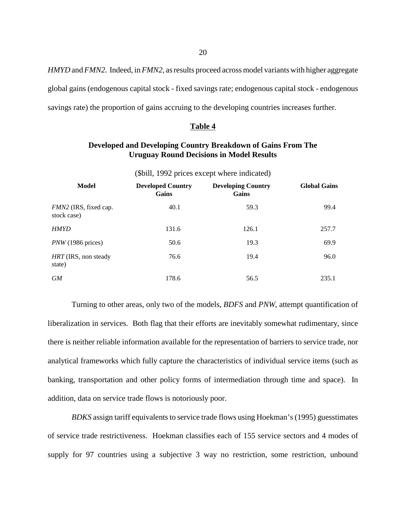*HMYD* and *FMN2*. Indeed, in *FMN2,* as results proceed across model variants with higher aggregate global gains (endogenous capital stock - fixed savings rate; endogenous capital stock - endogenous savings rate) the proportion of gains accruing to the developing countries increases further.

### **Table 4**

# **Developed and Developing Country Breakdown of Gains From The Uruguay Round Decisions in Model Results**

| (\$bill, 1992 prices except where indicated) |                                   |                                    |                     |  |  |
|----------------------------------------------|-----------------------------------|------------------------------------|---------------------|--|--|
| <b>Model</b>                                 | <b>Developed Country</b><br>Gains | <b>Developing Country</b><br>Gains | <b>Global Gains</b> |  |  |
| FMN2 (IRS, fixed cap.<br>stock case)         | 40.1                              | 59.3                               | 99.4                |  |  |
| <b>HMYD</b>                                  | 131.6                             | 126.1                              | 257.7               |  |  |
| $PNW(1986 \text{ prices})$                   | 50.6                              | 19.3                               | 69.9                |  |  |
| HRT (IRS, non steady<br>state)               | 76.6                              | 19.4                               | 96.0                |  |  |
| <b>GM</b>                                    | 178.6                             | 56.5                               | 235.1               |  |  |

Turning to other areas, only two of the models, *BDFS* and *PNW,* attempt quantification of liberalization in services. Both flag that their efforts are inevitably somewhat rudimentary, since there is neither reliable information available for the representation of barriers to service trade, nor analytical frameworks which fully capture the characteristics of individual service items (such as banking, transportation and other policy forms of intermediation through time and space). In addition, data on service trade flows is notoriously poor.

*BDKS* assign tariff equivalents to service trade flows using Hoekman's (1995) guesstimates of service trade restrictiveness. Hoekman classifies each of 155 service sectors and 4 modes of supply for 97 countries using a subjective 3 way no restriction, some restriction, unbound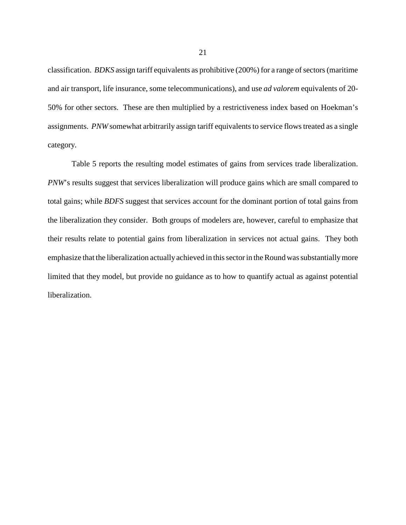classification. *BDKS* assign tariff equivalents as prohibitive (200%) for a range of sectors (maritime and air transport, life insurance, some telecommunications), and use *ad valorem* equivalents of 20- 50% for other sectors. These are then multiplied by a restrictiveness index based on Hoekman's assignments. *PNW* somewhat arbitrarily assign tariff equivalents to service flows treated as a single category.

Table 5 reports the resulting model estimates of gains from services trade liberalization. *PNW*'s results suggest that services liberalization will produce gains which are small compared to total gains; while *BDFS* suggest that services account for the dominant portion of total gains from the liberalization they consider. Both groups of modelers are, however, careful to emphasize that their results relate to potential gains from liberalization in services not actual gains. They both emphasize that the liberalization actually achieved in this sector in the Round was substantially more limited that they model, but provide no guidance as to how to quantify actual as against potential liberalization.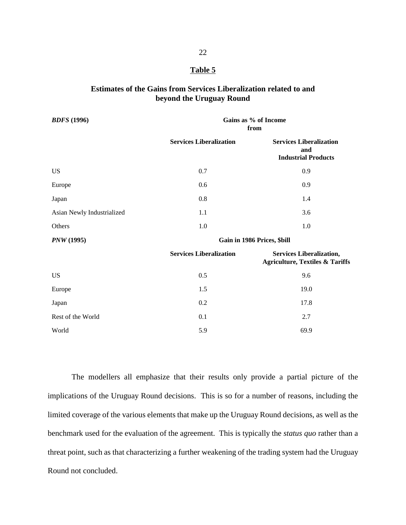## **Table 5**

# **Estimates of the Gains from Services Liberalization related to and beyond the Uruguay Round**

| <b>BDFS</b> (1996)         | Gains as % of Income<br>from   |                                                                               |  |  |  |
|----------------------------|--------------------------------|-------------------------------------------------------------------------------|--|--|--|
|                            | <b>Services Liberalization</b> | <b>Services Liberalization</b><br>and<br><b>Industrial Products</b>           |  |  |  |
| <b>US</b>                  | 0.7                            | 0.9                                                                           |  |  |  |
| Europe                     | 0.6                            | 0.9                                                                           |  |  |  |
| Japan                      | 0.8                            | 1.4                                                                           |  |  |  |
| Asian Newly Industrialized | 1.1                            | 3.6                                                                           |  |  |  |
| Others                     | 1.0                            | 1.0                                                                           |  |  |  |
| <b>PNW</b> (1995)          | Gain in 1986 Prices, \$bill    |                                                                               |  |  |  |
|                            | <b>Services Liberalization</b> | <b>Services Liberalization,</b><br><b>Agriculture, Textiles &amp; Tariffs</b> |  |  |  |
| <b>US</b>                  | 0.5                            | 9.6                                                                           |  |  |  |
| Europe                     | 1.5                            | 19.0                                                                          |  |  |  |
| Japan                      | 0.2                            | 17.8                                                                          |  |  |  |
| Rest of the World          | 0.1                            | 2.7                                                                           |  |  |  |
| World                      | 5.9                            | 69.9                                                                          |  |  |  |

The modellers all emphasize that their results only provide a partial picture of the implications of the Uruguay Round decisions. This is so for a number of reasons, including the limited coverage of the various elements that make up the Uruguay Round decisions, as well as the benchmark used for the evaluation of the agreement. This is typically the *status quo* rather than a threat point, such as that characterizing a further weakening of the trading system had the Uruguay Round not concluded.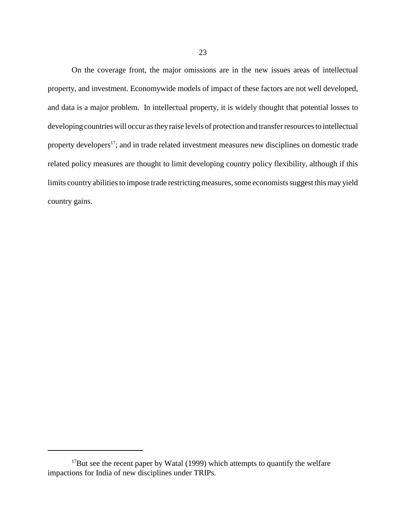On the coverage front, the major omissions are in the new issues areas of intellectual property, and investment. Economywide models of impact of these factors are not well developed, and data is a major problem. In intellectual property, it is widely thought that potential losses to developing countries will occur as they raise levels of protection and transfer resources to intellectual property developers<sup>17</sup>; and in trade related investment measures new disciplines on domestic trade related policy measures are thought to limit developing country policy flexibility, although if this limits country abilities to impose trade restricting measures, some economists suggest this may yield country gains.

 $17$ But see the recent paper by Watal (1999) which attempts to quantify the welfare impactions for India of new disciplines under TRIPs.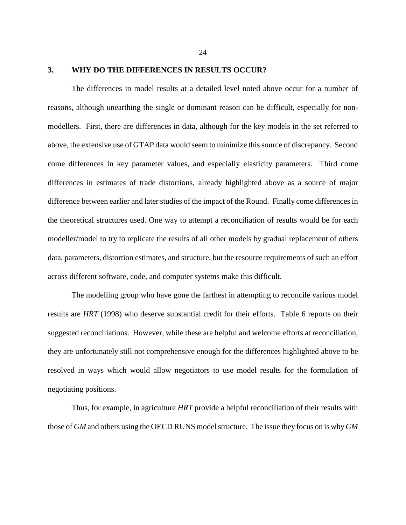## **3. WHY DO THE DIFFERENCES IN RESULTS OCCUR?**

The differences in model results at a detailed level noted above occur for a number of reasons, although unearthing the single or dominant reason can be difficult, especially for nonmodellers. First, there are differences in data, although for the key models in the set referred to above, the extensive use of GTAP data would seem to minimize this source of discrepancy. Second come differences in key parameter values, and especially elasticity parameters. Third come differences in estimates of trade distortions, already highlighted above as a source of major difference between earlier and later studies of the impact of the Round. Finally come differences in the theoretical structures used. One way to attempt a reconciliation of results would be for each modeller/model to try to replicate the results of all other models by gradual replacement of others data, parameters, distortion estimates, and structure, but the resource requirements of such an effort across different software, code, and computer systems make this difficult.

The modelling group who have gone the farthest in attempting to reconcile various model results are *HRT* (1998) who deserve substantial credit for their efforts. Table 6 reports on their suggested reconciliations. However, while these are helpful and welcome efforts at reconciliation, they are unfortunately still not comprehensive enough for the differences highlighted above to be resolved in ways which would allow negotiators to use model results for the formulation of negotiating positions.

Thus, for example, in agriculture *HRT* provide a helpful reconciliation of their results with those of *GM* and others using the OECD RUNS model structure. The issue they focus on is why *GM*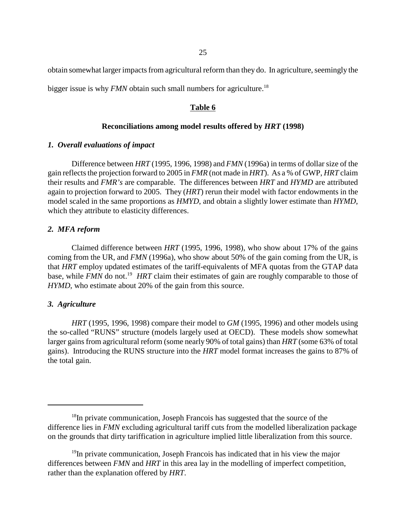obtain somewhat larger impacts from agricultural reform than they do. In agriculture, seemingly the

bigger issue is why *FMN* obtain such small numbers for agriculture.<sup>18</sup>

## **Table 6**

### **Reconciliations among model results offered by** *HRT* **(1998)**

### *1. Overall evaluations of impact*

Difference between *HRT* (1995, 1996, 1998) and *FMN* (1996a) in terms of dollar size of the gain reflects the projection forward to 2005 in *FMR* (not made in *HRT*). As a % of GWP, *HRT* claim their results and *FMR's* are comparable. The differences between *HRT* and *HYMD* are attributed again to projection forward to 2005. They (*HRT*) rerun their model with factor endowments in the model scaled in the same proportions as *HMYD*, and obtain a slightly lower estimate than *HYMD*, which they attribute to elasticity differences.

## *2. MFA reform*

Claimed difference between *HRT* (1995, 1996, 1998), who show about 17% of the gains coming from the UR, and *FMN* (1996a), who show about 50% of the gain coming from the UR, is that *HRT* employ updated estimates of the tariff-equivalents of MFA quotas from the GTAP data base, while *FMN* do not.<sup>19</sup> *HRT* claim their estimates of gain are roughly comparable to those of *HYMD*, who estimate about 20% of the gain from this source.

## *3. Agriculture*

*HRT* (1995, 1996, 1998) compare their model to *GM* (1995, 1996) and other models using the so-called "RUNS" structure (models largely used at OECD). These models show somewhat larger gains from agricultural reform (some nearly 90% of total gains) than *HRT* (some 63% of total gains). Introducing the RUNS structure into the *HRT* model format increases the gains to 87% of the total gain.

<sup>&</sup>lt;sup>18</sup>In private communication, Joseph Francois has suggested that the source of the difference lies in *FMN* excluding agricultural tariff cuts from the modelled liberalization package on the grounds that dirty tariffication in agriculture implied little liberalization from this source.

 $19$ In private communication, Joseph Francois has indicated that in his view the major differences between *FMN* and *HRT* in this area lay in the modelling of imperfect competition, rather than the explanation offered by *HRT*.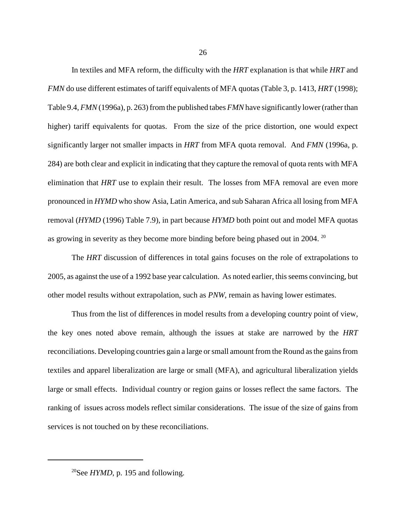In textiles and MFA reform, the difficulty with the *HRT* explanation is that while *HRT* and *FMN* do use different estimates of tariff equivalents of MFA quotas (Table 3, p. 1413, *HRT* (1998); Table 9.4, *FMN* (1996a), p. 263) from the published tabes *FMN* have significantly lower (rather than higher) tariff equivalents for quotas. From the size of the price distortion, one would expect significantly larger not smaller impacts in *HRT* from MFA quota removal. And *FMN* (1996a, p. 284) are both clear and explicit in indicating that they capture the removal of quota rents with MFA elimination that *HRT* use to explain their result. The losses from MFA removal are even more pronounced in *HYMD* who show Asia, Latin America, and sub Saharan Africa all losing from MFA removal (*HYMD* (1996) Table 7.9), in part because *HYMD* both point out and model MFA quotas as growing in severity as they become more binding before being phased out in 2004.<sup>20</sup>

The *HRT* discussion of differences in total gains focuses on the role of extrapolations to 2005, as against the use of a 1992 base year calculation. As noted earlier, this seems convincing, but other model results without extrapolation, such as *PNW*, remain as having lower estimates.

Thus from the list of differences in model results from a developing country point of view, the key ones noted above remain, although the issues at stake are narrowed by the *HRT* reconciliations. Developing countries gain a large or small amount from the Round as the gains from textiles and apparel liberalization are large or small (MFA), and agricultural liberalization yields large or small effects. Individual country or region gains or losses reflect the same factors. The ranking of issues across models reflect similar considerations. The issue of the size of gains from services is not touched on by these reconciliations.

<sup>&</sup>lt;sup>20</sup>See *HYMD*, p. 195 and following.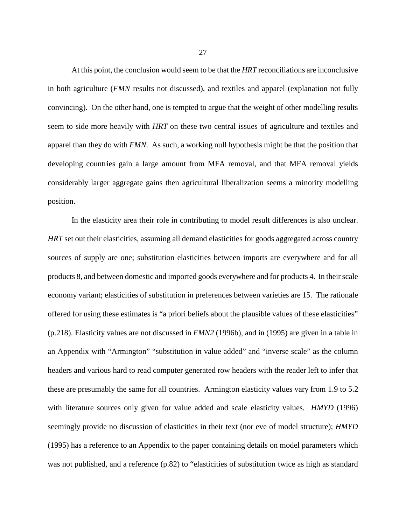At this point, the conclusion would seem to be that the *HRT* reconciliations are inconclusive in both agriculture (*FMN* results not discussed), and textiles and apparel (explanation not fully convincing). On the other hand, one is tempted to argue that the weight of other modelling results seem to side more heavily with *HRT* on these two central issues of agriculture and textiles and apparel than they do with *FMN*. As such, a working null hypothesis might be that the position that developing countries gain a large amount from MFA removal, and that MFA removal yields considerably larger aggregate gains then agricultural liberalization seems a minority modelling position.

In the elasticity area their role in contributing to model result differences is also unclear. *HRT* set out their elasticities, assuming all demand elasticities for goods aggregated across country sources of supply are one; substitution elasticities between imports are everywhere and for all products 8, and between domestic and imported goods everywhere and for products 4. In their scale economy variant; elasticities of substitution in preferences between varieties are 15. The rationale offered for using these estimates is "a priori beliefs about the plausible values of these elasticities" (p.218). Elasticity values are not discussed in *FMN2* (1996b), and in (1995) are given in a table in an Appendix with "Armington" "substitution in value added" and "inverse scale" as the column headers and various hard to read computer generated row headers with the reader left to infer that these are presumably the same for all countries. Armington elasticity values vary from 1.9 to 5.2 with literature sources only given for value added and scale elasticity values. *HMYD* (1996) seemingly provide no discussion of elasticities in their text (nor eve of model structure); *HMYD* (1995) has a reference to an Appendix to the paper containing details on model parameters which was not published, and a reference (p.82) to "elasticities of substitution twice as high as standard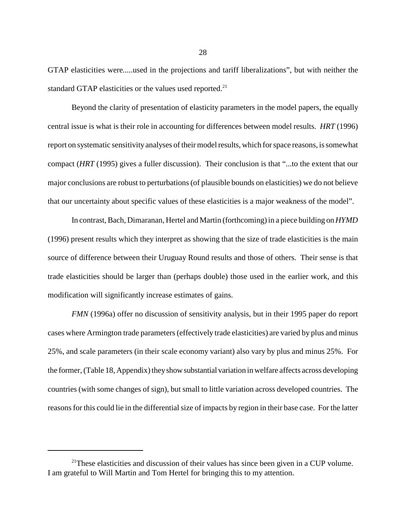GTAP elasticities were.....used in the projections and tariff liberalizations", but with neither the standard GTAP elasticities or the values used reported.<sup>21</sup>

Beyond the clarity of presentation of elasticity parameters in the model papers, the equally central issue is what is their role in accounting for differences between model results. *HRT* (1996) report on systematic sensitivity analyses of their model results, which for space reasons, is somewhat compact (*HRT* (1995) gives a fuller discussion). Their conclusion is that "...to the extent that our major conclusions are robust to perturbations (of plausible bounds on elasticities) we do not believe that our uncertainty about specific values of these elasticities is a major weakness of the model".

In contrast, Bach, Dimaranan, Hertel and Martin (forthcoming) in a piece building on *HYMD* (1996) present results which they interpret as showing that the size of trade elasticities is the main source of difference between their Uruguay Round results and those of others. Their sense is that trade elasticities should be larger than (perhaps double) those used in the earlier work, and this modification will significantly increase estimates of gains.

*FMN* (1996a) offer no discussion of sensitivity analysis, but in their 1995 paper do report cases where Armington trade parameters (effectively trade elasticities) are varied by plus and minus 25%, and scale parameters (in their scale economy variant) also vary by plus and minus 25%. For the former, (Table 18, Appendix) they show substantial variation in welfare affects across developing countries (with some changes of sign), but small to little variation across developed countries. The reasons for this could lie in the differential size of impacts by region in their base case. For the latter

 $2^{1}$ These elasticities and discussion of their values has since been given in a CUP volume. I am grateful to Will Martin and Tom Hertel for bringing this to my attention.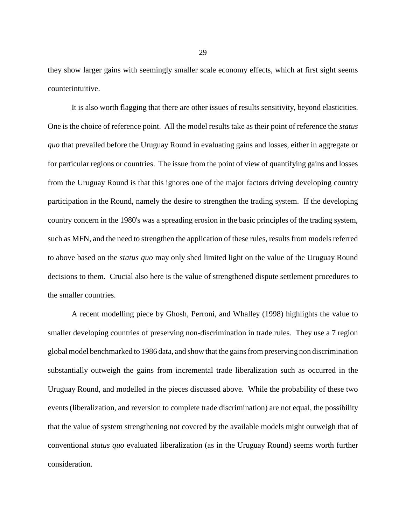they show larger gains with seemingly smaller scale economy effects, which at first sight seems counterintuitive.

It is also worth flagging that there are other issues of results sensitivity, beyond elasticities. One is the choice of reference point. All the model results take as their point of reference the *status quo* that prevailed before the Uruguay Round in evaluating gains and losses, either in aggregate or for particular regions or countries. The issue from the point of view of quantifying gains and losses from the Uruguay Round is that this ignores one of the major factors driving developing country participation in the Round, namely the desire to strengthen the trading system. If the developing country concern in the 1980's was a spreading erosion in the basic principles of the trading system, such as MFN, and the need to strengthen the application of these rules, results from models referred to above based on the *status quo* may only shed limited light on the value of the Uruguay Round decisions to them. Crucial also here is the value of strengthened dispute settlement procedures to the smaller countries.

A recent modelling piece by Ghosh, Perroni, and Whalley (1998) highlights the value to smaller developing countries of preserving non-discrimination in trade rules. They use a 7 region global model benchmarked to 1986 data, and show that the gains from preserving non discrimination substantially outweigh the gains from incremental trade liberalization such as occurred in the Uruguay Round, and modelled in the pieces discussed above. While the probability of these two events (liberalization, and reversion to complete trade discrimination) are not equal, the possibility that the value of system strengthening not covered by the available models might outweigh that of conventional *status quo* evaluated liberalization (as in the Uruguay Round) seems worth further consideration.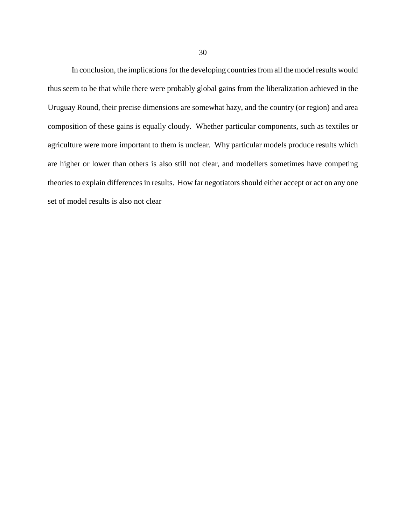In conclusion, the implications for the developing countries from all the model results would thus seem to be that while there were probably global gains from the liberalization achieved in the Uruguay Round, their precise dimensions are somewhat hazy, and the country (or region) and area composition of these gains is equally cloudy. Whether particular components, such as textiles or agriculture were more important to them is unclear. Why particular models produce results which are higher or lower than others is also still not clear, and modellers sometimes have competing theories to explain differences in results. How far negotiators should either accept or act on any one set of model results is also not clear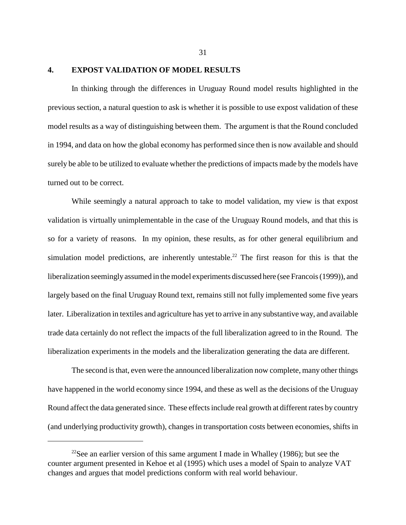# **4. EXPOST VALIDATION OF MODEL RESULTS**

In thinking through the differences in Uruguay Round model results highlighted in the previous section, a natural question to ask is whether it is possible to use expost validation of these model results as a way of distinguishing between them. The argument is that the Round concluded in 1994, and data on how the global economy has performed since then is now available and should surely be able to be utilized to evaluate whether the predictions of impacts made by the models have turned out to be correct.

While seemingly a natural approach to take to model validation, my view is that expost validation is virtually unimplementable in the case of the Uruguay Round models, and that this is so for a variety of reasons. In my opinion, these results, as for other general equilibrium and simulation model predictions, are inherently untestable.<sup>22</sup> The first reason for this is that the liberalization seemingly assumed in the model experiments discussed here (see Francois (1999)), and largely based on the final Uruguay Round text, remains still not fully implemented some five years later. Liberalization in textiles and agriculture has yet to arrive in any substantive way, and available trade data certainly do not reflect the impacts of the full liberalization agreed to in the Round. The liberalization experiments in the models and the liberalization generating the data are different.

The second is that, even were the announced liberalization now complete, many other things have happened in the world economy since 1994, and these as well as the decisions of the Uruguay Round affect the data generated since. These effects include real growth at different rates by country (and underlying productivity growth), changes in transportation costs between economies, shifts in

<sup>&</sup>lt;sup>22</sup>See an earlier version of this same argument I made in Whalley (1986); but see the counter argument presented in Kehoe et al (1995) which uses a model of Spain to analyze VAT changes and argues that model predictions conform with real world behaviour.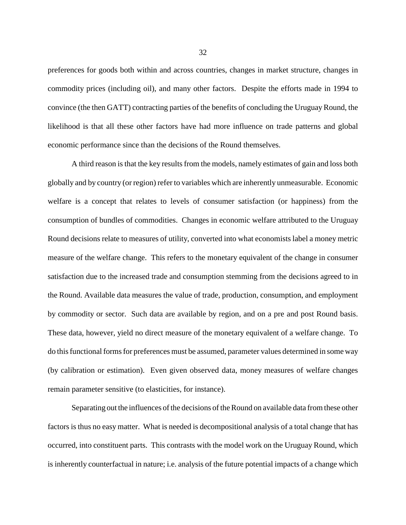preferences for goods both within and across countries, changes in market structure, changes in commodity prices (including oil), and many other factors. Despite the efforts made in 1994 to convince (the then GATT) contracting parties of the benefits of concluding the Uruguay Round, the likelihood is that all these other factors have had more influence on trade patterns and global economic performance since than the decisions of the Round themselves.

A third reason is that the key results from the models, namely estimates of gain and loss both globally and by country (or region) refer to variables which are inherently unmeasurable. Economic welfare is a concept that relates to levels of consumer satisfaction (or happiness) from the consumption of bundles of commodities. Changes in economic welfare attributed to the Uruguay Round decisions relate to measures of utility, converted into what economists label a money metric measure of the welfare change. This refers to the monetary equivalent of the change in consumer satisfaction due to the increased trade and consumption stemming from the decisions agreed to in the Round. Available data measures the value of trade, production, consumption, and employment by commodity or sector. Such data are available by region, and on a pre and post Round basis. These data, however, yield no direct measure of the monetary equivalent of a welfare change. To do this functional forms for preferences must be assumed, parameter values determined in some way (by calibration or estimation). Even given observed data, money measures of welfare changes remain parameter sensitive (to elasticities, for instance).

Separating out the influences of the decisions of the Round on available data from these other factors is thus no easy matter. What is needed is decompositional analysis of a total change that has occurred, into constituent parts. This contrasts with the model work on the Uruguay Round, which is inherently counterfactual in nature; i.e. analysis of the future potential impacts of a change which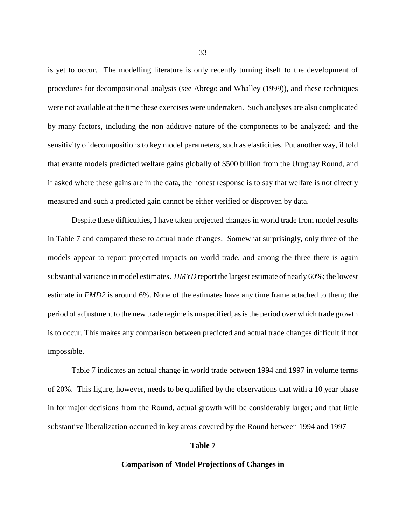is yet to occur. The modelling literature is only recently turning itself to the development of procedures for decompositional analysis (see Abrego and Whalley (1999)), and these techniques were not available at the time these exercises were undertaken. Such analyses are also complicated by many factors, including the non additive nature of the components to be analyzed; and the sensitivity of decompositions to key model parameters, such as elasticities. Put another way, if told that exante models predicted welfare gains globally of \$500 billion from the Uruguay Round, and if asked where these gains are in the data, the honest response is to say that welfare is not directly measured and such a predicted gain cannot be either verified or disproven by data.

Despite these difficulties, I have taken projected changes in world trade from model results in Table 7 and compared these to actual trade changes. Somewhat surprisingly, only three of the models appear to report projected impacts on world trade, and among the three there is again substantial variance in model estimates. *HMYD* report the largest estimate of nearly 60%; the lowest estimate in *FMD2* is around 6%. None of the estimates have any time frame attached to them; the period of adjustment to the new trade regime is unspecified, as is the period over which trade growth is to occur. This makes any comparison between predicted and actual trade changes difficult if not impossible.

Table 7 indicates an actual change in world trade between 1994 and 1997 in volume terms of 20%. This figure, however, needs to be qualified by the observations that with a 10 year phase in for major decisions from the Round, actual growth will be considerably larger; and that little substantive liberalization occurred in key areas covered by the Round between 1994 and 1997

## **Table 7**

#### **Comparison of Model Projections of Changes in**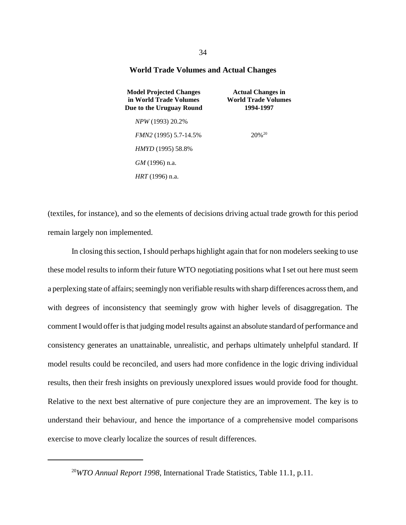### **World Trade Volumes and Actual Changes**

| <b>Model Projected Changes</b><br>in World Trade Volumes<br>Due to the Uruguay Round | <b>Actual Changes in</b><br><b>World Trade Volumes</b><br>1994-1997 |  |  |
|--------------------------------------------------------------------------------------|---------------------------------------------------------------------|--|--|
| <i>NPW</i> (1993) 20.2%                                                              |                                                                     |  |  |
| <i>FMN2</i> (1995) 5.7-14.5%                                                         | $20\%^{20}$                                                         |  |  |
| <i>HMYD</i> (1995) 58.8%                                                             |                                                                     |  |  |
| $GM$ (1996) n.a.                                                                     |                                                                     |  |  |
| <i>HRT</i> (1996) n.a.                                                               |                                                                     |  |  |

(textiles, for instance), and so the elements of decisions driving actual trade growth for this period remain largely non implemented.

In closing this section, I should perhaps highlight again that for non modelers seeking to use these model results to inform their future WTO negotiating positions what I set out here must seem a perplexing state of affairs; seemingly non verifiable results with sharp differences across them, and with degrees of inconsistency that seemingly grow with higher levels of disaggregation. The comment I would offer is that judging model results against an absolute standard of performance and consistency generates an unattainable, unrealistic, and perhaps ultimately unhelpful standard. If model results could be reconciled, and users had more confidence in the logic driving individual results, then their fresh insights on previously unexplored issues would provide food for thought. Relative to the next best alternative of pure conjecture they are an improvement. The key is to understand their behaviour, and hence the importance of a comprehensive model comparisons exercise to move clearly localize the sources of result differences.

<sup>20</sup>*WTO Annual Report 1998*, International Trade Statistics, Table 11.1, p.11.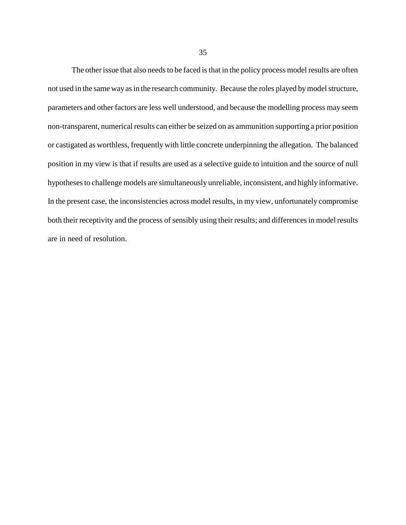The other issue that also needs to be faced is that in the policy process model results are often not used in the same way as in the research community. Because the roles played by model structure, parameters and other factors are less well understood, and because the modelling process may seem non-transparent, numerical results can either be seized on as ammunition supporting a prior position or castigated as worthless, frequently with little concrete underpinning the allegation. The balanced position in my view is that if results are used as a selective guide to intuition and the source of null hypotheses to challenge models are simultaneously unreliable, inconsistent, and highly informative. In the present case, the inconsistencies across model results, in my view, unfortunately compromise both their receptivity and the process of sensibly using their results; and differences in model results are in need of resolution.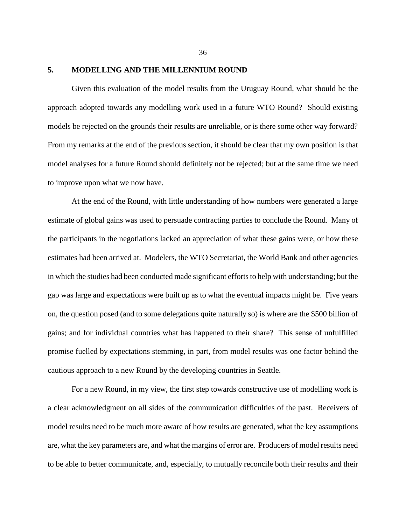# **5. MODELLING AND THE MILLENNIUM ROUND**

Given this evaluation of the model results from the Uruguay Round, what should be the approach adopted towards any modelling work used in a future WTO Round? Should existing models be rejected on the grounds their results are unreliable, or is there some other way forward? From my remarks at the end of the previous section, it should be clear that my own position is that model analyses for a future Round should definitely not be rejected; but at the same time we need to improve upon what we now have.

At the end of the Round, with little understanding of how numbers were generated a large estimate of global gains was used to persuade contracting parties to conclude the Round. Many of the participants in the negotiations lacked an appreciation of what these gains were, or how these estimates had been arrived at. Modelers, the WTO Secretariat, the World Bank and other agencies in which the studies had been conducted made significant efforts to help with understanding; but the gap was large and expectations were built up as to what the eventual impacts might be. Five years on, the question posed (and to some delegations quite naturally so) is where are the \$500 billion of gains; and for individual countries what has happened to their share? This sense of unfulfilled promise fuelled by expectations stemming, in part, from model results was one factor behind the cautious approach to a new Round by the developing countries in Seattle.

For a new Round, in my view, the first step towards constructive use of modelling work is a clear acknowledgment on all sides of the communication difficulties of the past. Receivers of model results need to be much more aware of how results are generated, what the key assumptions are, what the key parameters are, and what the margins of error are. Producers of model results need to be able to better communicate, and, especially, to mutually reconcile both their results and their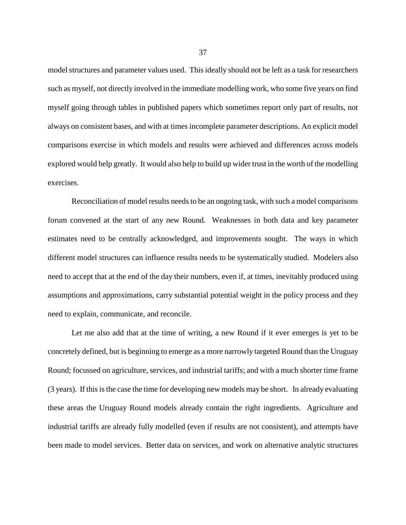model structures and parameter values used. This ideally should not be left as a task for researchers such as myself, not directly involved in the immediate modelling work, who some five years on find myself going through tables in published papers which sometimes report only part of results, not always on consistent bases, and with at times incomplete parameter descriptions. An explicit model comparisons exercise in which models and results were achieved and differences across models explored would help greatly. It would also help to build up wider trust in the worth of the modelling exercises.

Reconciliation of model results needs to be an ongoing task, with such a model comparisons forum convened at the start of any new Round. Weaknesses in both data and key parameter estimates need to be centrally acknowledged, and improvements sought. The ways in which different model structures can influence results needs to be systematically studied. Modelers also need to accept that at the end of the day their numbers, even if, at times, inevitably produced using assumptions and approximations, carry substantial potential weight in the policy process and they need to explain, communicate, and reconcile.

Let me also add that at the time of writing, a new Round if it ever emerges is yet to be concretely defined, but is beginning to emerge as a more narrowly targeted Round than the Uruguay Round; focussed on agriculture, services, and industrial tariffs; and with a much shorter time frame (3 years). If this is the case the time for developing new models may be short. In already evaluating these areas the Uruguay Round models already contain the right ingredients. Agriculture and industrial tariffs are already fully modelled (even if results are not consistent), and attempts have been made to model services. Better data on services, and work on alternative analytic structures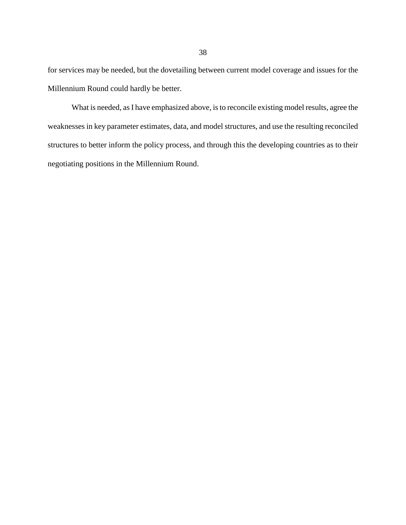for services may be needed, but the dovetailing between current model coverage and issues for the Millennium Round could hardly be better.

What is needed, as I have emphasized above, is to reconcile existing model results, agree the weaknesses in key parameter estimates, data, and model structures, and use the resulting reconciled structures to better inform the policy process, and through this the developing countries as to their negotiating positions in the Millennium Round.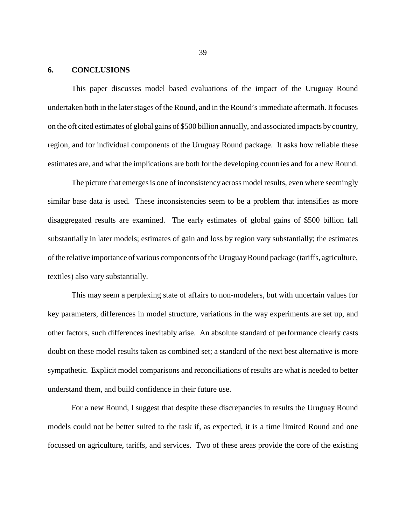## **6. CONCLUSIONS**

This paper discusses model based evaluations of the impact of the Uruguay Round undertaken both in the later stages of the Round, and in the Round's immediate aftermath. It focuses on the oft cited estimates of global gains of \$500 billion annually, and associated impacts by country, region, and for individual components of the Uruguay Round package. It asks how reliable these estimates are, and what the implications are both for the developing countries and for a new Round.

The picture that emerges is one of inconsistency across model results, even where seemingly similar base data is used. These inconsistencies seem to be a problem that intensifies as more disaggregated results are examined. The early estimates of global gains of \$500 billion fall substantially in later models; estimates of gain and loss by region vary substantially; the estimates of the relative importance of various components of the Uruguay Round package (tariffs, agriculture, textiles) also vary substantially.

This may seem a perplexing state of affairs to non-modelers, but with uncertain values for key parameters, differences in model structure, variations in the way experiments are set up, and other factors, such differences inevitably arise. An absolute standard of performance clearly casts doubt on these model results taken as combined set; a standard of the next best alternative is more sympathetic. Explicit model comparisons and reconciliations of results are what is needed to better understand them, and build confidence in their future use.

For a new Round, I suggest that despite these discrepancies in results the Uruguay Round models could not be better suited to the task if, as expected, it is a time limited Round and one focussed on agriculture, tariffs, and services. Two of these areas provide the core of the existing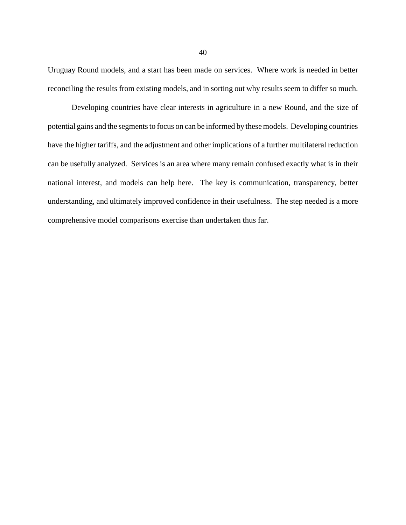Uruguay Round models, and a start has been made on services. Where work is needed in better reconciling the results from existing models, and in sorting out why results seem to differ so much.

Developing countries have clear interests in agriculture in a new Round, and the size of potential gains and the segments to focus on can be informed by these models. Developing countries have the higher tariffs, and the adjustment and other implications of a further multilateral reduction can be usefully analyzed. Services is an area where many remain confused exactly what is in their national interest, and models can help here. The key is communication, transparency, better understanding, and ultimately improved confidence in their usefulness. The step needed is a more comprehensive model comparisons exercise than undertaken thus far.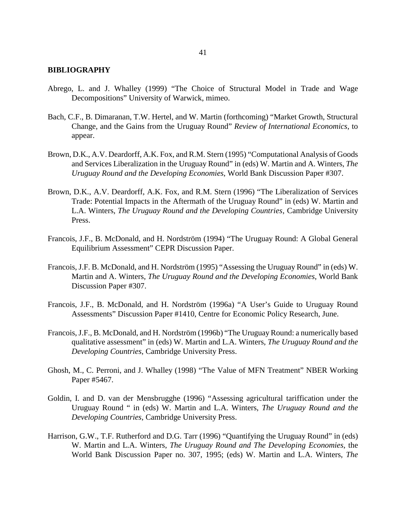## **BIBLIOGRAPHY**

- Abrego, L. and J. Whalley (1999) "The Choice of Structural Model in Trade and Wage Decompositions" University of Warwick, mimeo.
- Bach, C.F., B. Dimaranan, T.W. Hertel, and W. Martin (forthcoming) "Market Growth, Structural Change, and the Gains from the Uruguay Round" *Review of International Economics*, to appear.
- Brown, D.K., A.V. Deardorff, A.K. Fox, and R.M. Stern (1995) "Computational Analysis of Goods and Services Liberalization in the Uruguay Round" in (eds) W. Martin and A. Winters, *The Uruguay Round and the Developing Economies*, World Bank Discussion Paper #307.
- Brown, D.K., A.V. Deardorff, A.K. Fox, and R.M. Stern (1996) "The Liberalization of Services Trade: Potential Impacts in the Aftermath of the Uruguay Round" in (eds) W. Martin and L.A. Winters, *The Uruguay Round and the Developing Countries*, Cambridge University Press.
- Francois, J.F., B. McDonald, and H. Nordström (1994) "The Uruguay Round: A Global General Equilibrium Assessment" CEPR Discussion Paper.
- Francois, J.F. B. McDonald, and H. Nordström (1995) "Assessing the Uruguay Round" in (eds) W. Martin and A. Winters, *The Uruguay Round and the Developing Economies*, World Bank Discussion Paper #307.
- Francois, J.F., B. McDonald, and H. Nordström (1996a) "A User's Guide to Uruguay Round Assessments" Discussion Paper #1410, Centre for Economic Policy Research, June.
- Francois, J.F., B. McDonald, and H. Nordström (1996b) "The Uruguay Round: a numerically based qualitative assessment" in (eds) W. Martin and L.A. Winters, *The Uruguay Round and the Developing Countries*, Cambridge University Press.
- Ghosh, M., C. Perroni, and J. Whalley (1998) "The Value of MFN Treatment" NBER Working Paper #5467.
- Goldin, I. and D. van der Mensbrugghe (1996) "Assessing agricultural tariffication under the Uruguay Round " in (eds) W. Martin and L.A. Winters, *The Uruguay Round and the Developing Countries*, Cambridge University Press.
- Harrison, G.W., T.F. Rutherford and D.G. Tarr (1996) "Quantifying the Uruguay Round" in (eds) W. Martin and L.A. Winters, *The Uruguay Round and The Developing Economies*, the World Bank Discussion Paper no. 307, 1995; (eds) W. Martin and L.A. Winters, *The*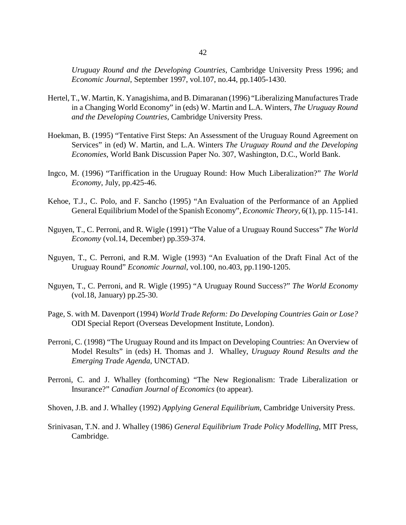*Uruguay Round and the Developing Countries*, Cambridge University Press 1996; and *Economic Journal*, September 1997, vol.107, no.44, pp.1405-1430.

- Hertel, T., W. Martin, K. Yanagishima, and B. Dimaranan (1996) "Liberalizing Manufactures Trade in a Changing World Economy" in (eds) W. Martin and L.A. Winters, *The Uruguay Round and the Developing Countries*, Cambridge University Press.
- Hoekman, B. (1995) "Tentative First Steps: An Assessment of the Uruguay Round Agreement on Services" in (ed) W. Martin, and L.A. Winters *The Uruguay Round and the Developing Economies*, World Bank Discussion Paper No. 307, Washington, D.C., World Bank.
- Ingco, M. (1996) "Tariffication in the Uruguay Round: How Much Liberalization?" *The World Economy*, July, pp.425-46.
- Kehoe, T.J., C. Polo, and F. Sancho (1995) "An Evaluation of the Performance of an Applied General Equilibrium Model of the Spanish Economy", *Economic Theory*, 6(1), pp. 115-141.
- Nguyen, T., C. Perroni, and R. Wigle (1991) "The Value of a Uruguay Round Success" *The World Economy* (vol.14, December) pp.359-374.
- Nguyen, T., C. Perroni, and R.M. Wigle (1993) "An Evaluation of the Draft Final Act of the Uruguay Round" *Economic Journal*, vol.100, no.403, pp.1190-1205.
- Nguyen, T., C. Perroni, and R. Wigle (1995) "A Uruguay Round Success?" *The World Economy* (vol.18, January) pp.25-30.
- Page, S. with M. Davenport (1994) *World Trade Reform: Do Developing Countries Gain or Lose?* ODI Special Report (Overseas Development Institute, London).
- Perroni, C. (1998) "The Uruguay Round and its Impact on Developing Countries: An Overview of Model Results" in (eds) H. Thomas and J. Whalley, *Uruguay Round Results and the Emerging Trade Agenda*, UNCTAD.
- Perroni, C. and J. Whalley (forthcoming) "The New Regionalism: Trade Liberalization or Insurance?" *Canadian Journal of Economics* (to appear).

Shoven, J.B. and J. Whalley (1992) *Applying General Equilibrium*, Cambridge University Press.

Srinivasan, T.N. and J. Whalley (1986) *General Equilibrium Trade Policy Modelling*, MIT Press, Cambridge.